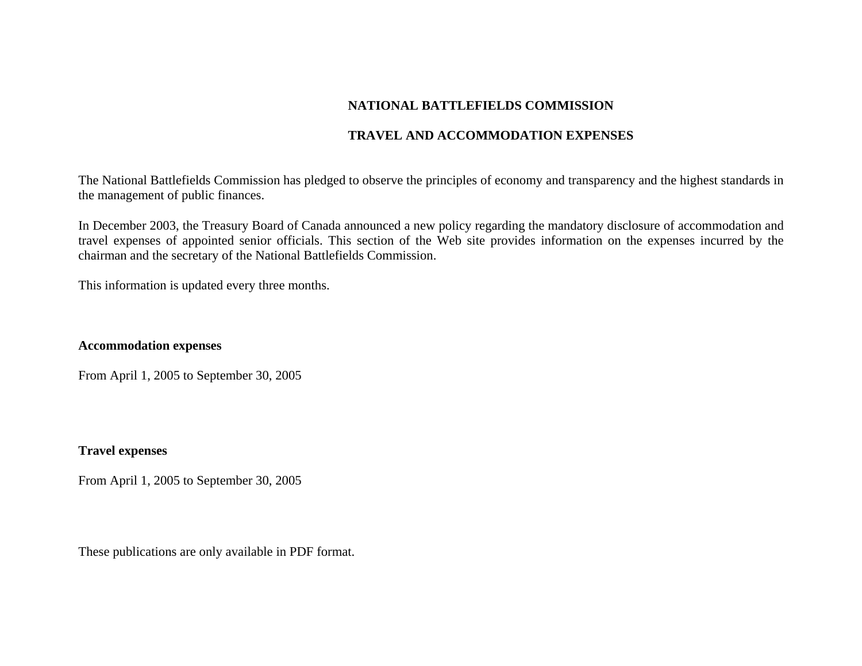# **NATIONAL BATTLEFIELDS COMMISSION**

# **TRAVEL AND ACCOMMODATION EXPENSES**

The National Battlefields Commission has pledged to observe the principles of economy and transparency and the highest standards in the management of public finances.

In December 2003, the Treasury Board of Canada announced a new policy regarding the mandatory disclosure of accommodation and travel expenses of appointed senior officials. This section of the Web site provides information on the expenses incurred by the chairman and the secretary of the National Battlefields Commission.

This information is updated every three months.

## **Accommodation expenses**

From April 1, 2005 to September 30, 2005

## **Travel expenses**

From April 1, 2005 to September 30, 2005

These publications are only available in PDF format.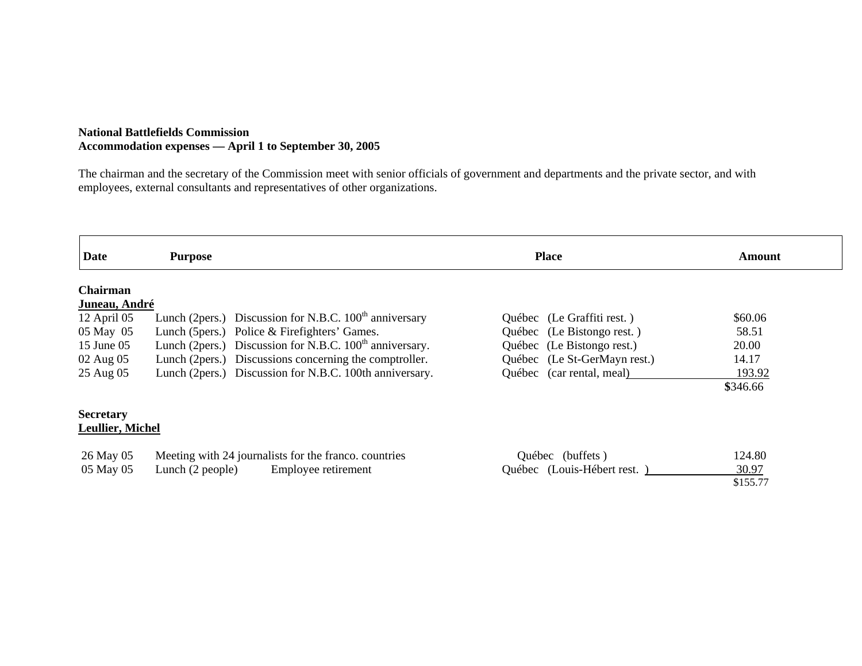### **National Battlefields Commission Accommodation expenses — April 1 to September 30, 2005**

The chairman and the secretary of the Commission meet with senior officials of government and departments and the private sector, and with employees, external consultants and representatives of other organizations.

| <b>Date</b>                                 | <b>Purpose</b>                                                      | <b>Place</b>                 | Amount   |  |
|---------------------------------------------|---------------------------------------------------------------------|------------------------------|----------|--|
| <b>Chairman</b>                             |                                                                     |                              |          |  |
| Juneau, André                               |                                                                     |                              |          |  |
| $12$ April 05                               | Lunch (2pers.) Discussion for N.B.C. $100th$ anniversary            | Québec (Le Graffiti rest.)   | \$60.06  |  |
| 05 May 05                                   | Lunch (5 pers.) Police & Firefighters' Games.                       | Québec (Le Bistongo rest.)   | 58.51    |  |
| 15 June 05                                  | Lunch (2pers.) Discussion for N.B.C. 100 <sup>th</sup> anniversary. | Québec (Le Bistongo rest.)   | 20.00    |  |
| 02 Aug 05                                   | Lunch (2pers.) Discussions concerning the comptroller.              | Québec (Le St-GerMayn rest.) | 14.17    |  |
| 25 Aug 05                                   | Lunch (2pers.) Discussion for N.B.C. 100th anniversary.             | Québec (car rental, meal)    | 193.92   |  |
|                                             |                                                                     |                              | \$346.66 |  |
| <b>Secretary</b><br><b>Leullier, Michel</b> |                                                                     |                              |          |  |
| 26 May 05                                   | Meeting with 24 journalists for the franco. countries               | Québec (buffets)             | 124.80   |  |
| 05 May 05                                   | Lunch (2 people)<br>Employee retirement                             | Québec (Louis-Hébert rest.)  | 30.97    |  |
|                                             |                                                                     |                              | \$155.77 |  |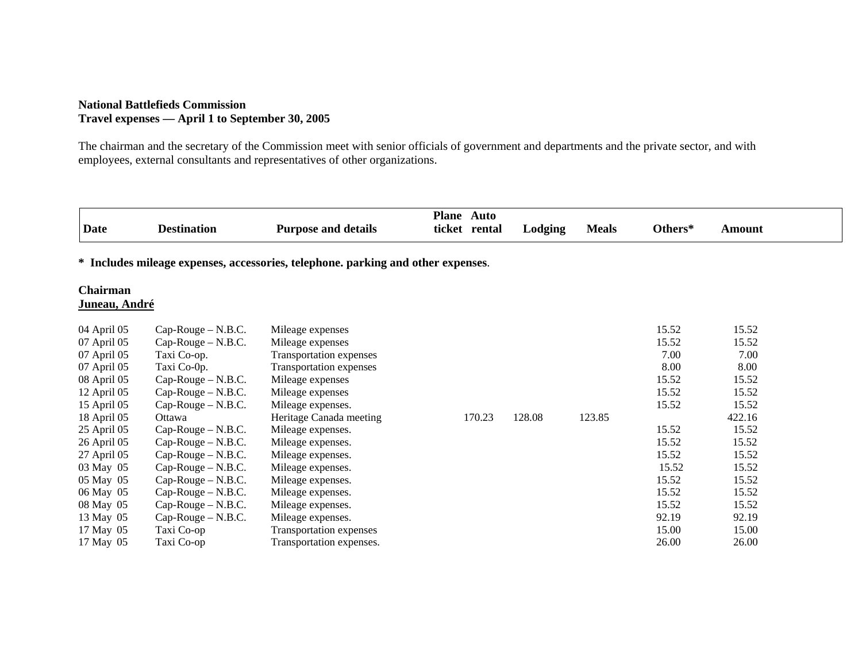#### **National Battlefieds Commission Travel expenses — April 1 to September 30, 2005**

The chairman and the secretary of the Commission meet with senior officials of government and departments and the private sector, and with employees, external consultants and representatives of other organizations.

| Date                                                                             | <b>Destination</b> | <b>Purpose and details</b> |  | <b>Plane Auto</b><br>ticket rental | Lodging | <b>Meals</b> | Others* | <b>Amount</b> |  |  |
|----------------------------------------------------------------------------------|--------------------|----------------------------|--|------------------------------------|---------|--------------|---------|---------------|--|--|
| * Includes mileage expenses, accessories, telephone. parking and other expenses. |                    |                            |  |                                    |         |              |         |               |  |  |
| Chairman<br>Juneau, André                                                        |                    |                            |  |                                    |         |              |         |               |  |  |
| 04 April 05                                                                      | $Cap-Rouge-N.B.C.$ | Mileage expenses           |  |                                    |         |              | 15.52   | 15.52         |  |  |
| 07 April 05                                                                      | $Cap-Rouge-N.B.C.$ | Mileage expenses           |  |                                    |         |              | 15.52   | 15.52         |  |  |
| 07 April 05                                                                      | Taxi Co-op.        | Transportation expenses    |  |                                    |         |              | 7.00    | 7.00          |  |  |
| 07 April 05                                                                      | Taxi Co-0p.        | Transportation expenses    |  |                                    |         |              | 8.00    | 8.00          |  |  |
| 08 April 05                                                                      | $Cap-Rouge-N.B.C.$ | Mileage expenses           |  |                                    |         |              | 15.52   | 15.52         |  |  |
| 12 April 05                                                                      | $Cap-Rouge-N.B.C.$ | Mileage expenses           |  |                                    |         |              | 15.52   | 15.52         |  |  |
| 15 April 05                                                                      | Cap-Rouge – N.B.C. | Mileage expenses.          |  |                                    |         |              | 15.52   | 15.52         |  |  |
| 18 April 05                                                                      | Ottawa             | Heritage Canada meeting    |  | 170.23                             | 128.08  | 123.85       |         | 422.16        |  |  |
| 25 April 05                                                                      | $Cap-Rouge-N.B.C.$ | Mileage expenses.          |  |                                    |         |              | 15.52   | 15.52         |  |  |
| 26 April 05                                                                      | Cap-Rouge – N.B.C. | Mileage expenses.          |  |                                    |         |              | 15.52   | 15.52         |  |  |
| 27 April 05                                                                      | $Cap-Rouge-N.B.C.$ | Mileage expenses.          |  |                                    |         |              | 15.52   | 15.52         |  |  |
| 03 May 05                                                                        | $Cap-Rouge-N.B.C.$ | Mileage expenses.          |  |                                    |         |              | 15.52   | 15.52         |  |  |
| 05 May 05                                                                        | $Cap-Rouge-N.B.C.$ | Mileage expenses.          |  |                                    |         |              | 15.52   | 15.52         |  |  |
| 06 May 05                                                                        | $Cap-Rouge-N.B.C.$ | Mileage expenses.          |  |                                    |         |              | 15.52   | 15.52         |  |  |
| 08 May 05                                                                        | $Cap-Rouge-N.B.C.$ | Mileage expenses.          |  |                                    |         |              | 15.52   | 15.52         |  |  |
| 13 May 05                                                                        | $Cap-Rouge-N.B.C.$ | Mileage expenses.          |  |                                    |         |              | 92.19   | 92.19         |  |  |
| 17 May 05                                                                        | Taxi Co-op         | Transportation expenses    |  |                                    |         |              | 15.00   | 15.00         |  |  |
| 17 May 05                                                                        | Taxi Co-op         | Transportation expenses.   |  |                                    |         |              | 26.00   | 26.00         |  |  |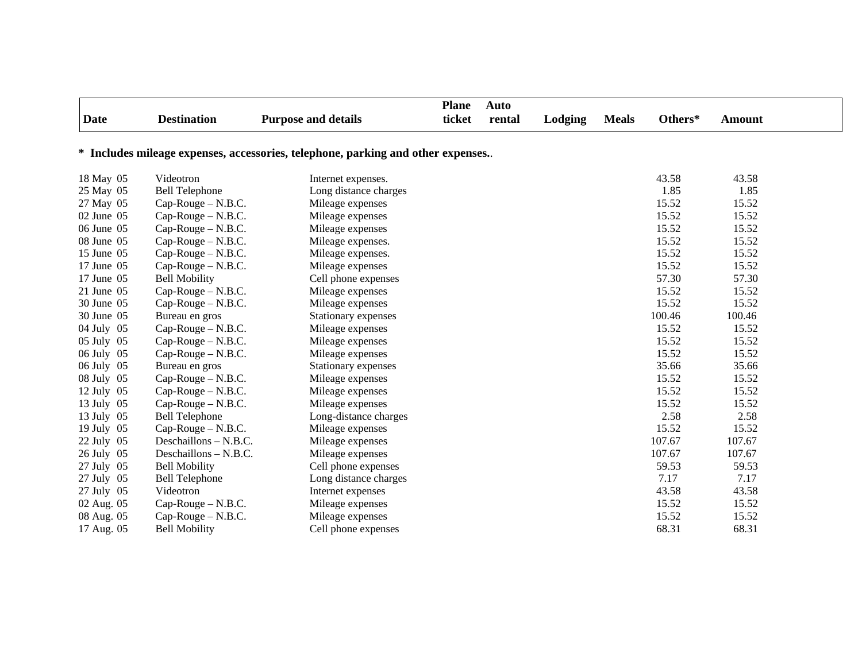| <b>Date</b>    | <b>Destination</b>    |                                                                                 | <b>Plane</b><br>ticket | Auto   |         | <b>Meals</b> | Others* |               |  |
|----------------|-----------------------|---------------------------------------------------------------------------------|------------------------|--------|---------|--------------|---------|---------------|--|
|                |                       | <b>Purpose and details</b>                                                      |                        | rental | Lodging |              |         | <b>Amount</b> |  |
|                |                       | * Includes mileage expenses, accessories, telephone, parking and other expenses |                        |        |         |              |         |               |  |
| 18 May 05      | Videotron             | Internet expenses.                                                              |                        |        |         |              | 43.58   | 43.58         |  |
| 25 May 05      | <b>Bell Telephone</b> | Long distance charges                                                           |                        |        |         |              | 1.85    | 1.85          |  |
| 27 May 05      | Cap-Rouge - N.B.C.    | Mileage expenses                                                                |                        |        |         |              | 15.52   | 15.52         |  |
| $02$ June $05$ | $Cap-Rouge-N.B.C.$    | Mileage expenses                                                                |                        |        |         |              | 15.52   | 15.52         |  |
| 06 June 05     | Cap-Rouge - N.B.C.    | Mileage expenses                                                                |                        |        |         |              | 15.52   | 15.52         |  |
| 08 June 05     | Cap-Rouge - N.B.C.    | Mileage expenses.                                                               |                        |        |         |              | 15.52   | 15.52         |  |
| 15 June 05     | $Cap-Rouge-N.B.C.$    | Mileage expenses.                                                               |                        |        |         |              | 15.52   | 15.52         |  |
| 17 June 05     | $Cap-Rouge-N.B.C.$    | Mileage expenses                                                                |                        |        |         |              | 15.52   | 15.52         |  |
| 17 June 05     | <b>Bell Mobility</b>  | Cell phone expenses                                                             |                        |        |         |              | 57.30   | 57.30         |  |
| $21$ June 05   | $Cap-Rouge-N.B.C.$    | Mileage expenses                                                                |                        |        |         |              | 15.52   | 15.52         |  |
| 30 June 05     | Cap-Rouge - N.B.C.    | Mileage expenses                                                                |                        |        |         |              | 15.52   | 15.52         |  |
| 30 June 05     | Bureau en gros        | Stationary expenses                                                             |                        |        |         |              | 100.46  | 100.46        |  |
| 04 July 05     | Cap-Rouge - N.B.C.    | Mileage expenses                                                                |                        |        |         |              | 15.52   | 15.52         |  |
| 05 July 05     | $Cap-Rouge-N.B.C.$    | Mileage expenses                                                                |                        |        |         |              | 15.52   | 15.52         |  |
| 06 July 05     | $Cap-Rouge-N.B.C.$    | Mileage expenses                                                                |                        |        |         |              | 15.52   | 15.52         |  |
| 06 July 05     | Bureau en gros        | Stationary expenses                                                             |                        |        |         |              | 35.66   | 35.66         |  |
| 08 July 05     | $Cap-Rouge-N.B.C.$    | Mileage expenses                                                                |                        |        |         |              | 15.52   | 15.52         |  |
| 12 July 05     | Cap-Rouge - N.B.C.    | Mileage expenses                                                                |                        |        |         |              | 15.52   | 15.52         |  |
| 13 July 05     | Cap-Rouge - N.B.C.    | Mileage expenses                                                                |                        |        |         |              | 15.52   | 15.52         |  |
| 13 July 05     | <b>Bell Telephone</b> | Long-distance charges                                                           |                        |        |         |              | 2.58    | 2.58          |  |
| 19 July 05     | Cap-Rouge - N.B.C.    | Mileage expenses                                                                |                        |        |         |              | 15.52   | 15.52         |  |
| 22 July 05     | Deschaillons - N.B.C. | Mileage expenses                                                                |                        |        |         |              | 107.67  | 107.67        |  |
| 26 July 05     | Deschaillons – N.B.C. | Mileage expenses                                                                |                        |        |         |              | 107.67  | 107.67        |  |
| 27 July 05     | <b>Bell Mobility</b>  | Cell phone expenses                                                             |                        |        |         |              | 59.53   | 59.53         |  |
| $27$ July 05   | <b>Bell Telephone</b> | Long distance charges                                                           |                        |        |         |              | 7.17    | 7.17          |  |
| 27 July 05     | Videotron             | Internet expenses                                                               |                        |        |         |              | 43.58   | 43.58         |  |
| 02 Aug. 05     | Cap-Rouge - N.B.C.    | Mileage expenses                                                                |                        |        |         |              | 15.52   | 15.52         |  |
| 08 Aug. 05     | $Cap-Rouge-N.B.C.$    | Mileage expenses                                                                |                        |        |         |              | 15.52   | 15.52         |  |
| 17 Aug. 05     | <b>Bell Mobility</b>  | Cell phone expenses                                                             |                        |        |         |              | 68.31   | 68.31         |  |